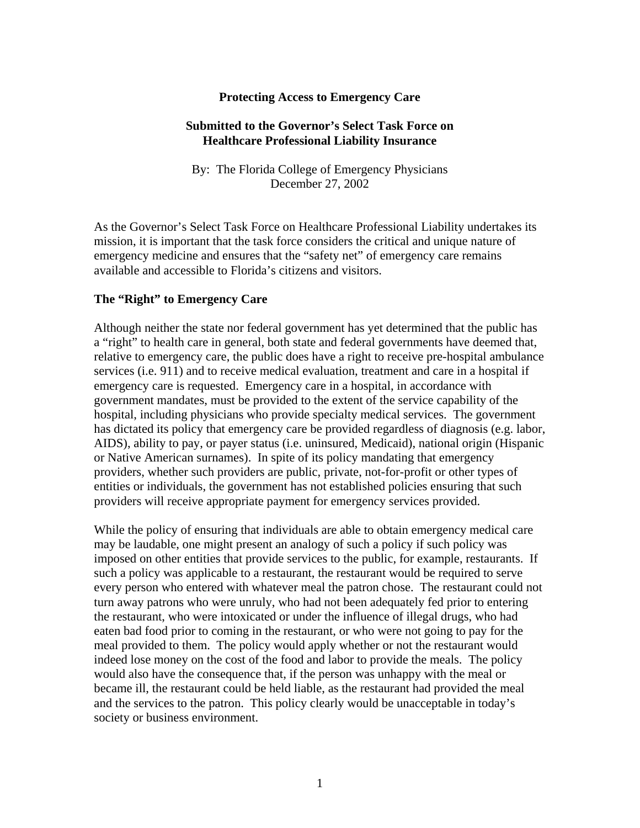#### **Protecting Access to Emergency Care**

#### **Submitted to the Governor's Select Task Force on Healthcare Professional Liability Insurance**

By: The Florida College of Emergency Physicians December 27, 2002

As the Governor's Select Task Force on Healthcare Professional Liability undertakes its mission, it is important that the task force considers the critical and unique nature of emergency medicine and ensures that the "safety net" of emergency care remains available and accessible to Florida's citizens and visitors.

#### **The "Right" to Emergency Care**

Although neither the state nor federal government has yet determined that the public has a "right" to health care in general, both state and federal governments have deemed that, relative to emergency care, the public does have a right to receive pre-hospital ambulance services (i.e. 911) and to receive medical evaluation, treatment and care in a hospital if emergency care is requested. Emergency care in a hospital, in accordance with government mandates, must be provided to the extent of the service capability of the hospital, including physicians who provide specialty medical services. The government has dictated its policy that emergency care be provided regardless of diagnosis (e.g. labor, AIDS), ability to pay, or payer status (i.e. uninsured, Medicaid), national origin (Hispanic or Native American surnames). In spite of its policy mandating that emergency providers, whether such providers are public, private, not-for-profit or other types of entities or individuals, the government has not established policies ensuring that such providers will receive appropriate payment for emergency services provided.

While the policy of ensuring that individuals are able to obtain emergency medical care may be laudable, one might present an analogy of such a policy if such policy was imposed on other entities that provide services to the public, for example, restaurants. If such a policy was applicable to a restaurant, the restaurant would be required to serve every person who entered with whatever meal the patron chose. The restaurant could not turn away patrons who were unruly, who had not been adequately fed prior to entering the restaurant, who were intoxicated or under the influence of illegal drugs, who had eaten bad food prior to coming in the restaurant, or who were not going to pay for the meal provided to them. The policy would apply whether or not the restaurant would indeed lose money on the cost of the food and labor to provide the meals. The policy would also have the consequence that, if the person was unhappy with the meal or became ill, the restaurant could be held liable, as the restaurant had provided the meal and the services to the patron. This policy clearly would be unacceptable in today's society or business environment.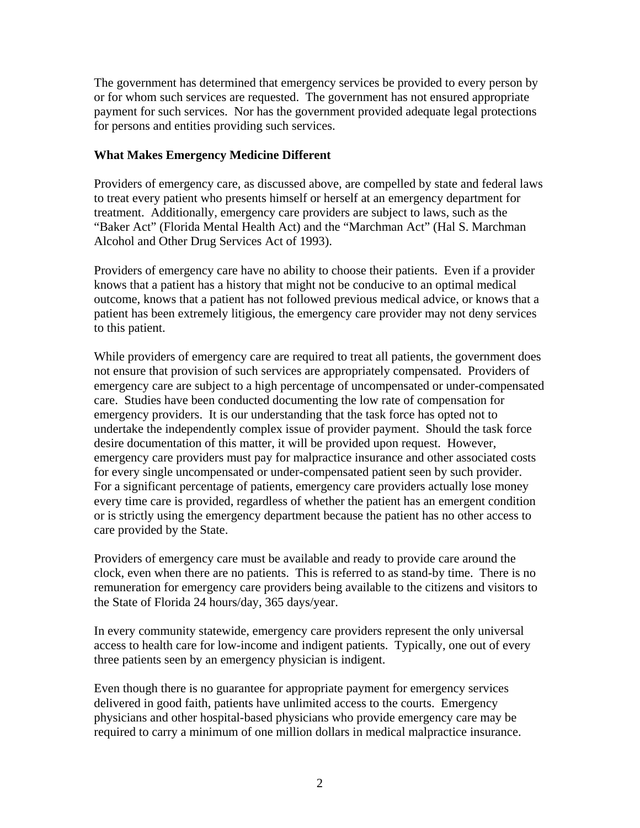The government has determined that emergency services be provided to every person by or for whom such services are requested. The government has not ensured appropriate payment for such services. Nor has the government provided adequate legal protections for persons and entities providing such services.

#### **What Makes Emergency Medicine Different**

Providers of emergency care, as discussed above, are compelled by state and federal laws to treat every patient who presents himself or herself at an emergency department for treatment. Additionally, emergency care providers are subject to laws, such as the "Baker Act" (Florida Mental Health Act) and the "Marchman Act" (Hal S. Marchman Alcohol and Other Drug Services Act of 1993).

Providers of emergency care have no ability to choose their patients. Even if a provider knows that a patient has a history that might not be conducive to an optimal medical outcome, knows that a patient has not followed previous medical advice, or knows that a patient has been extremely litigious, the emergency care provider may not deny services to this patient.

While providers of emergency care are required to treat all patients, the government does not ensure that provision of such services are appropriately compensated. Providers of emergency care are subject to a high percentage of uncompensated or under-compensated care. Studies have been conducted documenting the low rate of compensation for emergency providers. It is our understanding that the task force has opted not to undertake the independently complex issue of provider payment. Should the task force desire documentation of this matter, it will be provided upon request. However, emergency care providers must pay for malpractice insurance and other associated costs for every single uncompensated or under-compensated patient seen by such provider. For a significant percentage of patients, emergency care providers actually lose money every time care is provided, regardless of whether the patient has an emergent condition or is strictly using the emergency department because the patient has no other access to care provided by the State.

Providers of emergency care must be available and ready to provide care around the clock, even when there are no patients. This is referred to as stand-by time. There is no remuneration for emergency care providers being available to the citizens and visitors to the State of Florida 24 hours/day, 365 days/year.

In every community statewide, emergency care providers represent the only universal access to health care for low-income and indigent patients. Typically, one out of every three patients seen by an emergency physician is indigent.

Even though there is no guarantee for appropriate payment for emergency services delivered in good faith, patients have unlimited access to the courts. Emergency physicians and other hospital-based physicians who provide emergency care may be required to carry a minimum of one million dollars in medical malpractice insurance.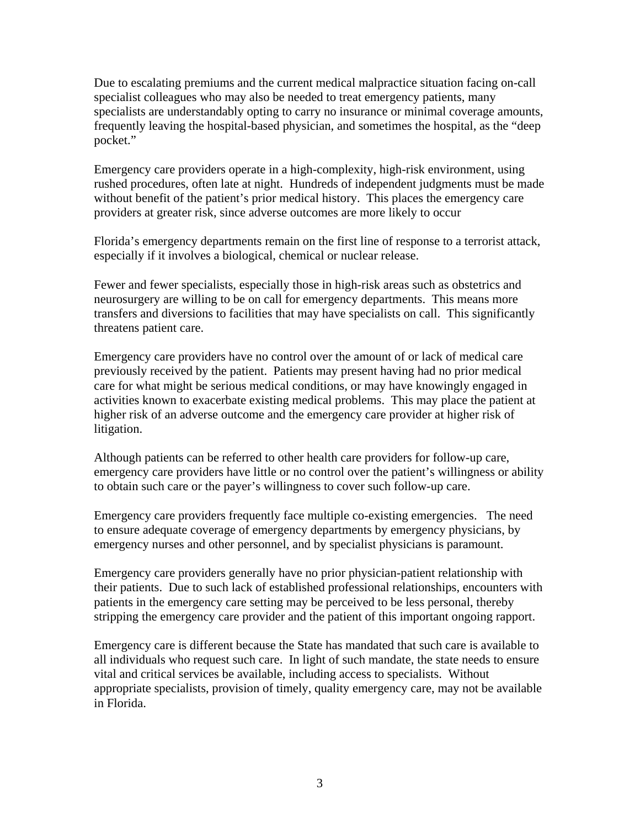Due to escalating premiums and the current medical malpractice situation facing on-call specialist colleagues who may also be needed to treat emergency patients, many specialists are understandably opting to carry no insurance or minimal coverage amounts, frequently leaving the hospital-based physician, and sometimes the hospital, as the "deep pocket."

Emergency care providers operate in a high-complexity, high-risk environment, using rushed procedures, often late at night. Hundreds of independent judgments must be made without benefit of the patient's prior medical history. This places the emergency care providers at greater risk, since adverse outcomes are more likely to occur

Florida's emergency departments remain on the first line of response to a terrorist attack, especially if it involves a biological, chemical or nuclear release.

Fewer and fewer specialists, especially those in high-risk areas such as obstetrics and neurosurgery are willing to be on call for emergency departments. This means more transfers and diversions to facilities that may have specialists on call. This significantly threatens patient care.

Emergency care providers have no control over the amount of or lack of medical care previously received by the patient. Patients may present having had no prior medical care for what might be serious medical conditions, or may have knowingly engaged in activities known to exacerbate existing medical problems. This may place the patient at higher risk of an adverse outcome and the emergency care provider at higher risk of litigation.

Although patients can be referred to other health care providers for follow-up care, emergency care providers have little or no control over the patient's willingness or ability to obtain such care or the payer's willingness to cover such follow-up care.

Emergency care providers frequently face multiple co-existing emergencies. The need to ensure adequate coverage of emergency departments by emergency physicians, by emergency nurses and other personnel, and by specialist physicians is paramount.

Emergency care providers generally have no prior physician-patient relationship with their patients. Due to such lack of established professional relationships, encounters with patients in the emergency care setting may be perceived to be less personal, thereby stripping the emergency care provider and the patient of this important ongoing rapport.

Emergency care is different because the State has mandated that such care is available to all individuals who request such care. In light of such mandate, the state needs to ensure vital and critical services be available, including access to specialists. Without appropriate specialists, provision of timely, quality emergency care, may not be available in Florida.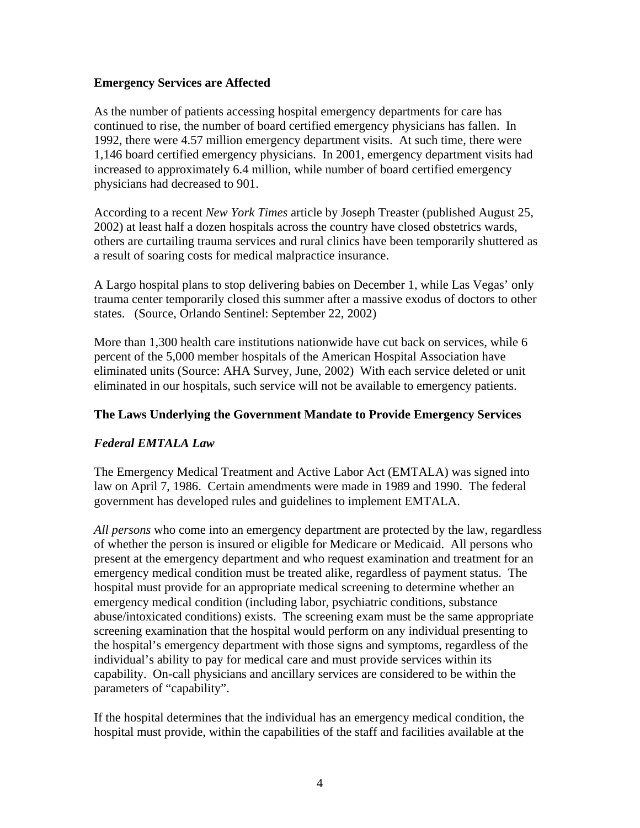### **Emergency Services are Affected**

As the number of patients accessing hospital emergency departments for care has continued to rise, the number of board certified emergency physicians has fallen. In 1992, there were 4.57 million emergency department visits. At such time, there were 1,146 board certified emergency physicians. In 2001, emergency department visits had increased to approximately 6.4 million, while number of board certified emergency physicians had decreased to 901.

According to a recent *New York Times* article by Joseph Treaster (published August 25, 2002) at least half a dozen hospitals across the country have closed obstetrics wards, others are curtailing trauma services and rural clinics have been temporarily shuttered as a result of soaring costs for medical malpractice insurance.

A Largo hospital plans to stop delivering babies on December 1, while Las Vegas' only trauma center temporarily closed this summer after a massive exodus of doctors to other states. (Source, Orlando Sentinel: September 22, 2002)

More than 1,300 health care institutions nationwide have cut back on services, while 6 percent of the 5,000 member hospitals of the American Hospital Association have eliminated units (Source: AHA Survey, June, 2002) With each service deleted or unit eliminated in our hospitals, such service will not be available to emergency patients.

### **The Laws Underlying the Government Mandate to Provide Emergency Services**

# *Federal EMTALA Law*

The Emergency Medical Treatment and Active Labor Act (EMTALA) was signed into law on April 7, 1986. Certain amendments were made in 1989 and 1990. The federal government has developed rules and guidelines to implement EMTALA.

*All persons* who come into an emergency department are protected by the law, regardless of whether the person is insured or eligible for Medicare or Medicaid. All persons who present at the emergency department and who request examination and treatment for an emergency medical condition must be treated alike, regardless of payment status. The hospital must provide for an appropriate medical screening to determine whether an emergency medical condition (including labor, psychiatric conditions, substance abuse/intoxicated conditions) exists. The screening exam must be the same appropriate screening examination that the hospital would perform on any individual presenting to the hospital's emergency department with those signs and symptoms, regardless of the individual's ability to pay for medical care and must provide services within its capability. On-call physicians and ancillary services are considered to be within the parameters of "capability".

If the hospital determines that the individual has an emergency medical condition, the hospital must provide, within the capabilities of the staff and facilities available at the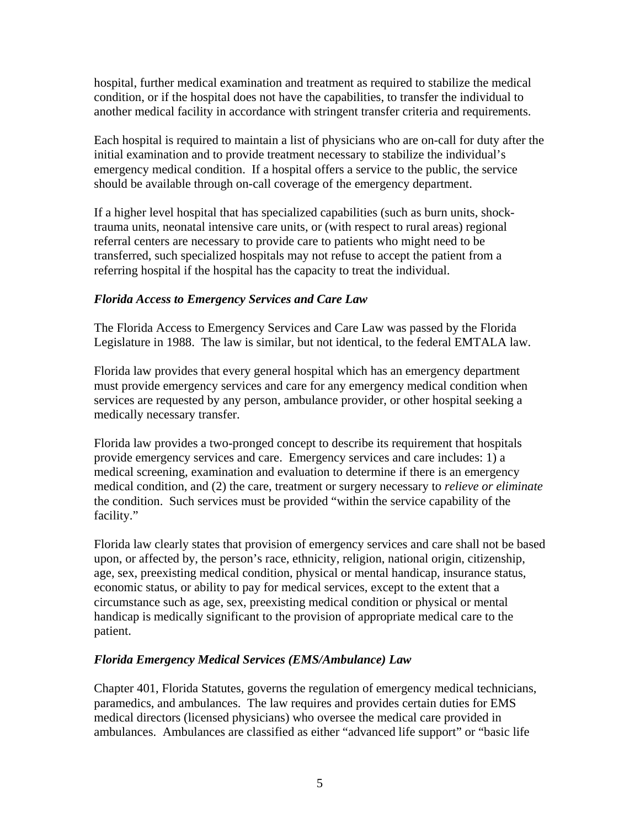hospital, further medical examination and treatment as required to stabilize the medical condition, or if the hospital does not have the capabilities, to transfer the individual to another medical facility in accordance with stringent transfer criteria and requirements.

Each hospital is required to maintain a list of physicians who are on-call for duty after the initial examination and to provide treatment necessary to stabilize the individual's emergency medical condition. If a hospital offers a service to the public, the service should be available through on-call coverage of the emergency department.

If a higher level hospital that has specialized capabilities (such as burn units, shocktrauma units, neonatal intensive care units, or (with respect to rural areas) regional referral centers are necessary to provide care to patients who might need to be transferred, such specialized hospitals may not refuse to accept the patient from a referring hospital if the hospital has the capacity to treat the individual.

# *Florida Access to Emergency Services and Care Law*

The Florida Access to Emergency Services and Care Law was passed by the Florida Legislature in 1988. The law is similar, but not identical, to the federal EMTALA law.

Florida law provides that every general hospital which has an emergency department must provide emergency services and care for any emergency medical condition when services are requested by any person, ambulance provider, or other hospital seeking a medically necessary transfer.

Florida law provides a two-pronged concept to describe its requirement that hospitals provide emergency services and care. Emergency services and care includes: 1) a medical screening, examination and evaluation to determine if there is an emergency medical condition, and (2) the care, treatment or surgery necessary to *relieve or eliminate* the condition. Such services must be provided "within the service capability of the facility."

Florida law clearly states that provision of emergency services and care shall not be based upon, or affected by, the person's race, ethnicity, religion, national origin, citizenship, age, sex, preexisting medical condition, physical or mental handicap, insurance status, economic status, or ability to pay for medical services, except to the extent that a circumstance such as age, sex, preexisting medical condition or physical or mental handicap is medically significant to the provision of appropriate medical care to the patient.

# *Florida Emergency Medical Services (EMS/Ambulance) Law*

Chapter 401, Florida Statutes, governs the regulation of emergency medical technicians, paramedics, and ambulances. The law requires and provides certain duties for EMS medical directors (licensed physicians) who oversee the medical care provided in ambulances. Ambulances are classified as either "advanced life support" or "basic life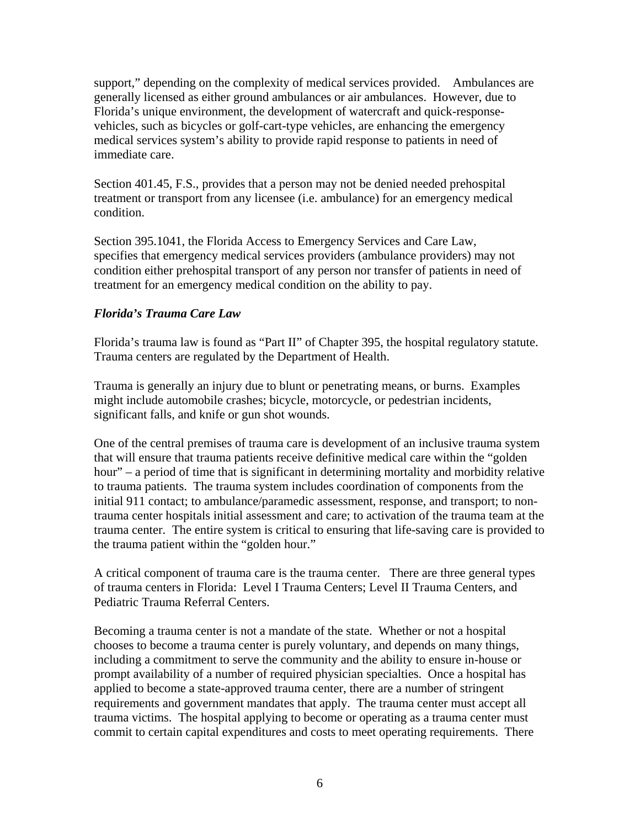support," depending on the complexity of medical services provided. Ambulances are generally licensed as either ground ambulances or air ambulances. However, due to Florida's unique environment, the development of watercraft and quick-responsevehicles, such as bicycles or golf-cart-type vehicles, are enhancing the emergency medical services system's ability to provide rapid response to patients in need of immediate care.

Section 401.45, F.S., provides that a person may not be denied needed prehospital treatment or transport from any licensee (i.e. ambulance) for an emergency medical condition.

Section 395.1041, the Florida Access to Emergency Services and Care Law, specifies that emergency medical services providers (ambulance providers) may not condition either prehospital transport of any person nor transfer of patients in need of treatment for an emergency medical condition on the ability to pay.

# *Florida's Trauma Care Law*

Florida's trauma law is found as "Part II" of Chapter 395, the hospital regulatory statute. Trauma centers are regulated by the Department of Health.

Trauma is generally an injury due to blunt or penetrating means, or burns. Examples might include automobile crashes; bicycle, motorcycle, or pedestrian incidents, significant falls, and knife or gun shot wounds.

One of the central premises of trauma care is development of an inclusive trauma system that will ensure that trauma patients receive definitive medical care within the "golden hour" – a period of time that is significant in determining mortality and morbidity relative to trauma patients. The trauma system includes coordination of components from the initial 911 contact; to ambulance/paramedic assessment, response, and transport; to nontrauma center hospitals initial assessment and care; to activation of the trauma team at the trauma center. The entire system is critical to ensuring that life-saving care is provided to the trauma patient within the "golden hour."

A critical component of trauma care is the trauma center. There are three general types of trauma centers in Florida: Level I Trauma Centers; Level II Trauma Centers, and Pediatric Trauma Referral Centers.

Becoming a trauma center is not a mandate of the state. Whether or not a hospital chooses to become a trauma center is purely voluntary, and depends on many things, including a commitment to serve the community and the ability to ensure in-house or prompt availability of a number of required physician specialties. Once a hospital has applied to become a state-approved trauma center, there are a number of stringent requirements and government mandates that apply. The trauma center must accept all trauma victims. The hospital applying to become or operating as a trauma center must commit to certain capital expenditures and costs to meet operating requirements. There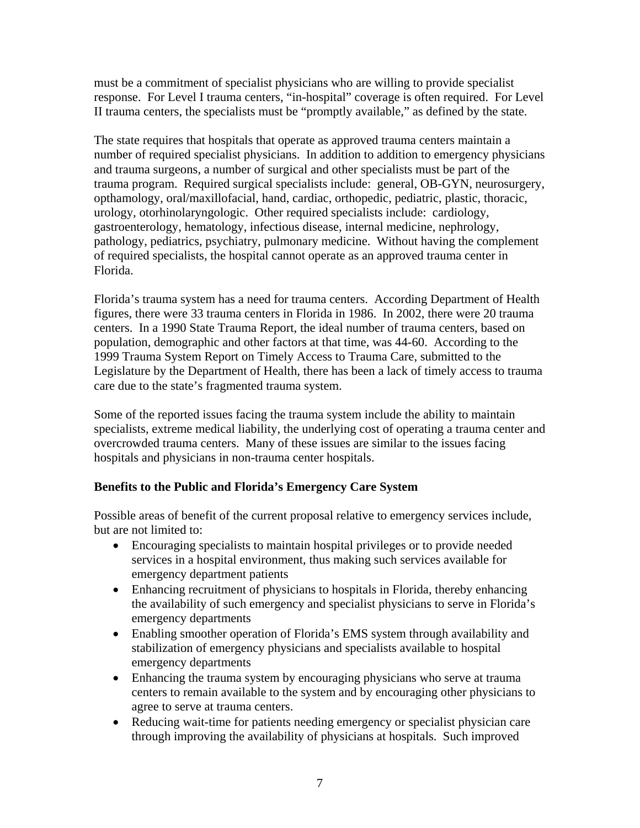must be a commitment of specialist physicians who are willing to provide specialist response. For Level I trauma centers, "in-hospital" coverage is often required. For Level II trauma centers, the specialists must be "promptly available," as defined by the state.

The state requires that hospitals that operate as approved trauma centers maintain a number of required specialist physicians. In addition to addition to emergency physicians and trauma surgeons, a number of surgical and other specialists must be part of the trauma program. Required surgical specialists include: general, OB-GYN, neurosurgery, opthamology, oral/maxillofacial, hand, cardiac, orthopedic, pediatric, plastic, thoracic, urology, otorhinolaryngologic. Other required specialists include: cardiology, gastroenterology, hematology, infectious disease, internal medicine, nephrology, pathology, pediatrics, psychiatry, pulmonary medicine. Without having the complement of required specialists, the hospital cannot operate as an approved trauma center in Florida.

Florida's trauma system has a need for trauma centers. According Department of Health figures, there were 33 trauma centers in Florida in 1986. In 2002, there were 20 trauma centers. In a 1990 State Trauma Report, the ideal number of trauma centers, based on population, demographic and other factors at that time, was 44-60. According to the 1999 Trauma System Report on Timely Access to Trauma Care, submitted to the Legislature by the Department of Health, there has been a lack of timely access to trauma care due to the state's fragmented trauma system.

Some of the reported issues facing the trauma system include the ability to maintain specialists, extreme medical liability, the underlying cost of operating a trauma center and overcrowded trauma centers. Many of these issues are similar to the issues facing hospitals and physicians in non-trauma center hospitals.

# **Benefits to the Public and Florida's Emergency Care System**

Possible areas of benefit of the current proposal relative to emergency services include, but are not limited to:

- Encouraging specialists to maintain hospital privileges or to provide needed services in a hospital environment, thus making such services available for emergency department patients
- Enhancing recruitment of physicians to hospitals in Florida, thereby enhancing the availability of such emergency and specialist physicians to serve in Florida's emergency departments
- Enabling smoother operation of Florida's EMS system through availability and stabilization of emergency physicians and specialists available to hospital emergency departments
- Enhancing the trauma system by encouraging physicians who serve at trauma centers to remain available to the system and by encouraging other physicians to agree to serve at trauma centers.
- Reducing wait-time for patients needing emergency or specialist physician care through improving the availability of physicians at hospitals. Such improved